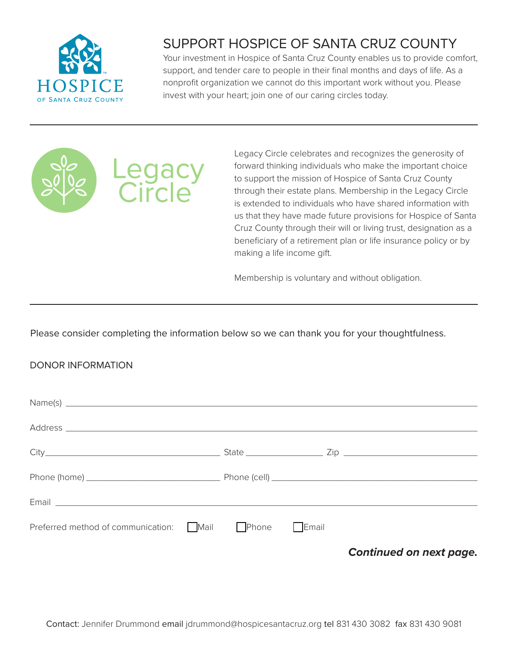

## SUPPORT HOSPICE OF SANTA CRUZ COUNTY

Your investment in Hospice of Santa Cruz County enables us to provide comfort, support, and tender care to people in their final months and days of life. As a nonprofit organization we cannot do this important work without you. Please invest with your heart; join one of our caring circles today.



Legacy Circle celebrates and recognizes the generosity of forward thinking individuals who make the important choice to support the mission of Hospice of Santa Cruz County through their estate plans. Membership in the Legacy Circle is extended to individuals who have shared information with us that they have made future provisions for Hospice of Santa Cruz County through their will or living trust, designation as a beneficiary of a retirement plan or life insurance policy or by making a life income gift.

Membership is voluntary and without obligation.

Please consider completing the information below so we can thank you for your thoughtfulness.

## DONOR INFORMATION

| Email <u>experience and a series of the series of the series of the series of the series of the series of the series of the series of the series of the series of the series of the series of the series of the series of the se</u> |  |              |                         |
|--------------------------------------------------------------------------------------------------------------------------------------------------------------------------------------------------------------------------------------|--|--------------|-------------------------|
| Preferred method of communication: $\Box$ Mail $\Box$ Phone                                                                                                                                                                          |  | $\Box$ Email |                         |
|                                                                                                                                                                                                                                      |  |              | Continued on next page. |